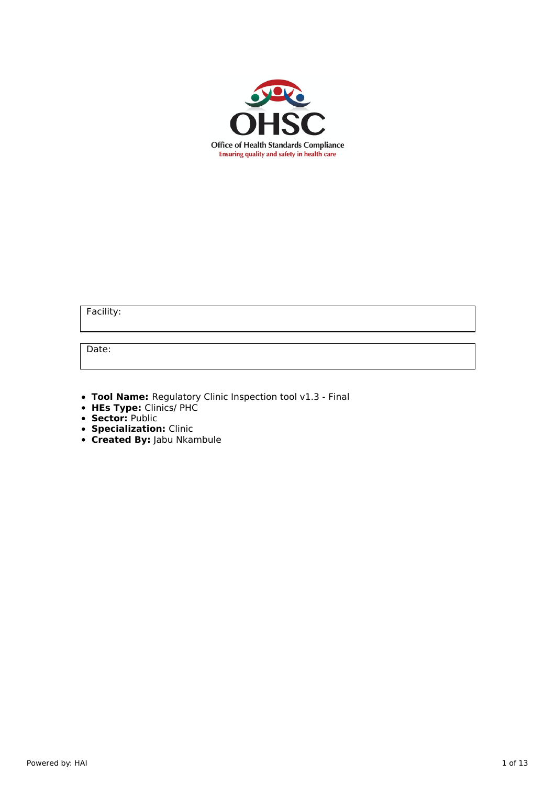

Facility:

Date:

- **Tool Name:** Regulatory Clinic Inspection tool v1.3 Final
- **HEs Type:** Clinics/ PHC
- **Sector:** Public
- **Specialization:** Clinic
- **Created By:** Jabu Nkambule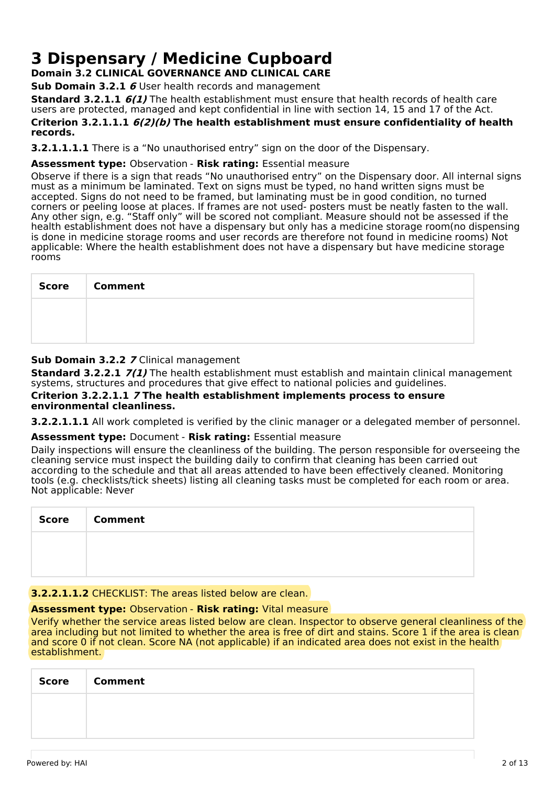# **3 Dispensary / Medicine Cupboard**

**Domain 3.2 CLINICAL GOVERNANCE AND CLINICAL CARE**

**Sub Domain 3.2.1 6** User health records and management

**Standard 3.2.1.1 6(1)** The health establishment must ensure that health records of health care users are protected, managed and kept confidential in line with section 14, 15 and 17 of the Act.

#### **Criterion 3.2.1.1.1 6(2)(b) The health establishment must ensure confidentiality of health records.**

**3.2.1.1.1.1** There is a "No unauthorised entry" sign on the door of the Dispensary.

## **Assessment type:** Observation - **Risk rating:** Essential measure

Observe if there is a sign that reads "No unauthorised entry" on the Dispensary door. All internal signs must as a minimum be laminated. Text on signs must be typed, no hand written signs must be accepted. Signs do not need to be framed, but laminating must be in good condition, no turned corners or peeling loose at places. If frames are not used- posters must be neatly fasten to the wall. Any other sign, e.g. "Staff only" will be scored not compliant. Measure should not be assessed if the health establishment does not have a dispensary but only has a medicine storage room(no dispensing is done in medicine storage rooms and user records are therefore not found in medicine rooms) Not applicable: Where the health establishment does not have a dispensary but have medicine storage rooms

| <b>Score</b> | <b>Comment</b> |
|--------------|----------------|
|              |                |
|              |                |

## **Sub Domain 3.2.2 7** Clinical management

**Standard 3.2.2.1 7(1)** The health establishment must establish and maintain clinical management systems, structures and procedures that give effect to national policies and guidelines.

#### **Criterion 3.2.2.1.1 7 The health establishment implements process to ensure environmental cleanliness.**

**3.2.2.1.1.1** All work completed is verified by the clinic manager or a delegated member of personnel.

#### **Assessment type:** Document - **Risk rating:** Essential measure

Daily inspections will ensure the cleanliness of the building. The person responsible for overseeing the cleaning service must inspect the building daily to confirm that cleaning has been carried out according to the schedule and that all areas attended to have been effectively cleaned. Monitoring tools (e.g. checklists/tick sheets) listing all cleaning tasks must be completed for each room or area. Not applicable: Never

| <b>Score</b> | <b>Comment</b> |
|--------------|----------------|
|              |                |
|              |                |

### **3.2.2.1.1.2** CHECKLIST: The areas listed below are clean.

#### **Assessment type:** Observation - **Risk rating:** Vital measure

Verify whether the service areas listed below are clean. Inspector to observe general cleanliness of the area including but not limited to whether the area is free of dirt and stains. Score 1 if the area is clean and score 0 if not clean. Score NA (not applicable) if an indicated area does not exist in the health establishment.

| <b>Score</b> | <b>Comment</b> |
|--------------|----------------|
|              |                |
|              |                |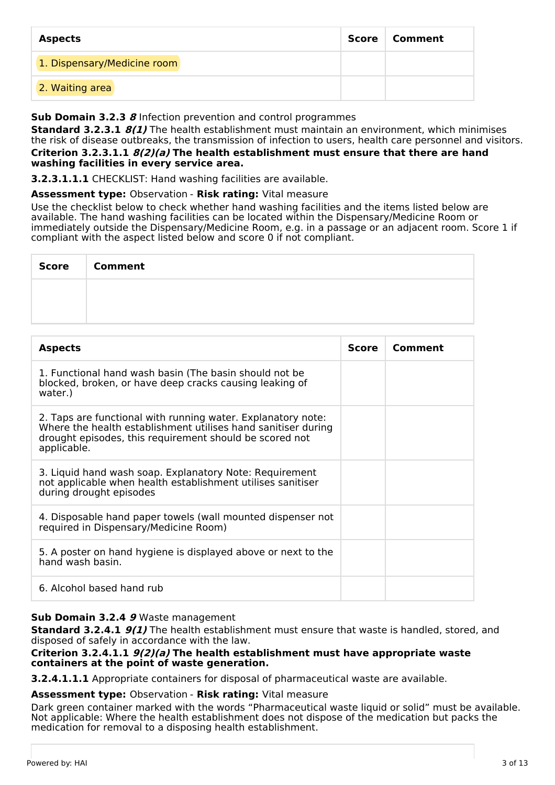| <b>Aspects</b>              | Score | Comment |
|-----------------------------|-------|---------|
| 1. Dispensary/Medicine room |       |         |
| 2. Waiting area             |       |         |

## **Sub Domain 3.2.3 8** Infection prevention and control programmes

**Standard 3.2.3.1 8(1)** The health establishment must maintain an environment, which minimises the risk of disease outbreaks, the transmission of infection to users, health care personnel and visitors.

#### **Criterion 3.2.3.1.1 8(2)(a) The health establishment must ensure that there are hand washing facilities in every service area.**

**3.2.3.1.1.1** CHECKLIST: Hand washing facilities are available.

**Assessment type:** Observation - **Risk rating:** Vital measure

Use the checklist below to check whether hand washing facilities and the items listed below are available. The hand washing facilities can be located within the Dispensary/Medicine Room or immediately outside the Dispensary/Medicine Room, e.g. in a passage or an adjacent room. Score 1 if compliant with the aspect listed below and score 0 if not compliant.

| <b>Score</b> | <b>Comment</b> |
|--------------|----------------|
|              |                |
|              |                |

| <b>Aspects</b>                                                                                                                                                                                          | <b>Score</b> | Comment |
|---------------------------------------------------------------------------------------------------------------------------------------------------------------------------------------------------------|--------------|---------|
| 1. Functional hand wash basin (The basin should not be<br>blocked, broken, or have deep cracks causing leaking of<br>water.)                                                                            |              |         |
| 2. Taps are functional with running water. Explanatory note:<br>Where the health establishment utilises hand sanitiser during<br>drought episodes, this requirement should be scored not<br>applicable. |              |         |
| 3. Liquid hand wash soap. Explanatory Note: Requirement<br>not applicable when health establishment utilises sanitiser<br>during drought episodes                                                       |              |         |
| 4. Disposable hand paper towels (wall mounted dispenser not<br>required in Dispensary/Medicine Room)                                                                                                    |              |         |
| 5. A poster on hand hygiene is displayed above or next to the<br>hand wash basin.                                                                                                                       |              |         |
| 6. Alcohol based hand rub                                                                                                                                                                               |              |         |

#### **Sub Domain 3.2.4 9** Waste management

**Standard 3.2.4.1 9(1)** The health establishment must ensure that waste is handled, stored, and disposed of safely in accordance with the law.

### **Criterion 3.2.4.1.1 9(2)(a) The health establishment must have appropriate waste containers at the point of waste generation.**

**3.2.4.1.1.1** Appropriate containers for disposal of pharmaceutical waste are available.

#### **Assessment type:** Observation - **Risk rating:** Vital measure

Dark green container marked with the words "Pharmaceutical waste liquid or solid" must be available. Not applicable: Where the health establishment does not dispose of the medication but packs the medication for removal to a disposing health establishment.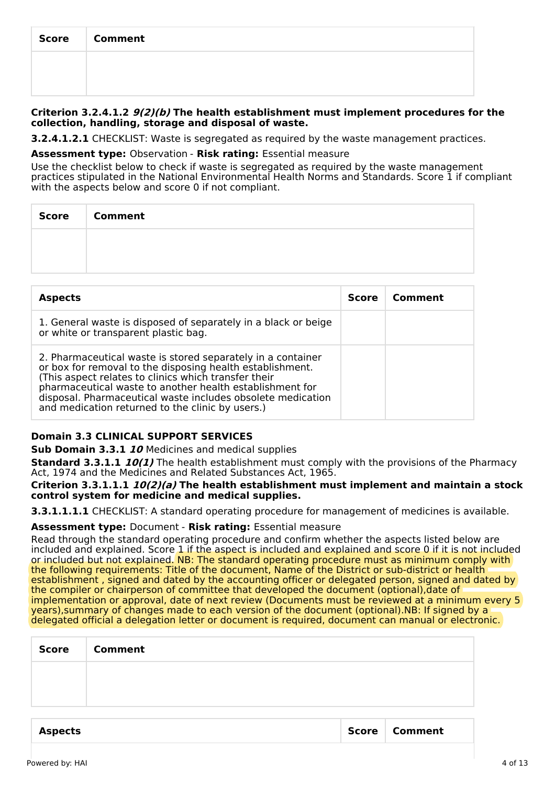| <b>Score</b> | <b>Comment</b> |
|--------------|----------------|
|              |                |
|              |                |

#### **Criterion 3.2.4.1.2 9(2)(b) The health establishment must implement procedures for the collection, handling, storage and disposal of waste.**

**3.2.4.1.2.1** CHECKLIST: Waste is segregated as required by the waste management practices.

#### **Assessment type:** Observation - **Risk rating:** Essential measure

Use the checklist below to check if waste is segregated as required by the waste management practices stipulated in the National Environmental Health Norms and Standards. Score 1 if compliant with the aspects below and score 0 if not compliant.

| <b>Score</b> | <b>Comment</b> |
|--------------|----------------|
|              |                |
|              |                |

| <b>Aspects</b>                                                                                                                                                                                                                                                                                                                                                  | <b>Score</b> | Comment |
|-----------------------------------------------------------------------------------------------------------------------------------------------------------------------------------------------------------------------------------------------------------------------------------------------------------------------------------------------------------------|--------------|---------|
| 1. General waste is disposed of separately in a black or beige<br>or white or transparent plastic bag.                                                                                                                                                                                                                                                          |              |         |
| 2. Pharmaceutical waste is stored separately in a container<br>or box for removal to the disposing health establishment.<br>(This aspect relates to clinics which transfer their<br>pharmaceutical waste to another health establishment for<br>disposal. Pharmaceutical waste includes obsolete medication<br>and medication returned to the clinic by users.) |              |         |

## **Domain 3.3 CLINICAL SUPPORT SERVICES**

**Sub Domain 3.3.1 10** Medicines and medical supplies

**Standard 3.3.1.1 10(1)** The health establishment must comply with the provisions of the Pharmacy Act, 1974 and the Medicines and Related Substances Act, 1965.

#### **Criterion 3.3.1.1.1 10(2)(a) The health establishment must implement and maintain a stock control system for medicine and medical supplies.**

**3.3.1.1.1.1** CHECKLIST: A standard operating procedure for management of medicines is available.

#### **Assessment type:** Document - **Risk rating:** Essential measure

Read through the standard operating procedure and confirm whether the aspects listed below are included and explained. Score 1 if the aspect is included and explained and score 0 if it is not included or included but not explained. NB: The standard operating procedure must as minimum comply with the following requirements: Title of the document, Name of the District or sub-district or health establishment , signed and dated by the accounting officer or delegated person, signed and dated by the compiler or chairperson of committee that developed the document (optional),date of implementation or approval, date of next review (Documents must be reviewed at a minimum every 5 years),summary of changes made to each version of the document (optional).NB: If signed by a delegated official a delegation letter or document is required, document can manual or electronic.

| Score   Comment |
|-----------------|
|                 |
|                 |
|                 |

| Aspects | Score   Comment |
|---------|-----------------|
|         |                 |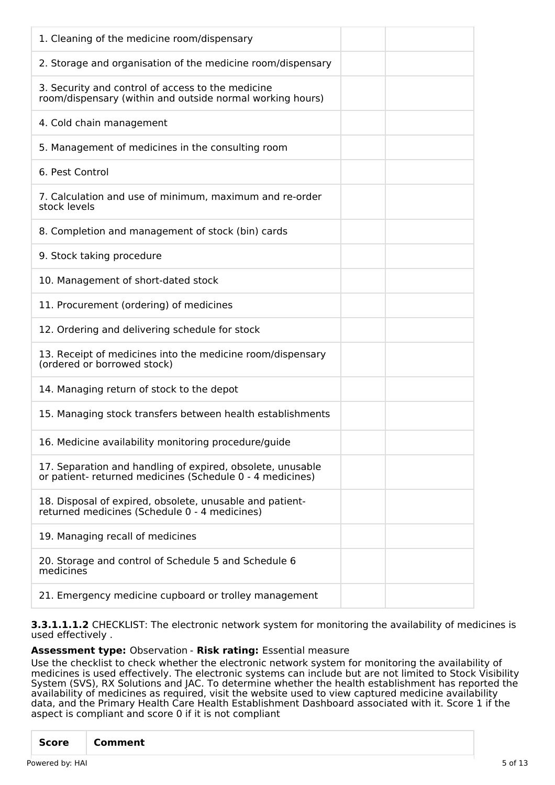**3.3.1.1.1.2** CHECKLIST: The electronic network system for monitoring the availability of medicines is used effectively .

## **Assessment type:** Observation - **Risk rating:** Essential measure

Use the checklist to check whether the electronic network system for monitoring the availability of medicines is used effectively. The electronic systems can include but are not limited to Stock Visibility System (SVS), RX Solutions and JAC. To determine whether the health establishment has reported the availability of medicines as required, visit the website used to view captured medicine availability data, and the Primary Health Care Health Establishment Dashboard associated with it. Score 1 if the aspect is compliant and score 0 if it is not compliant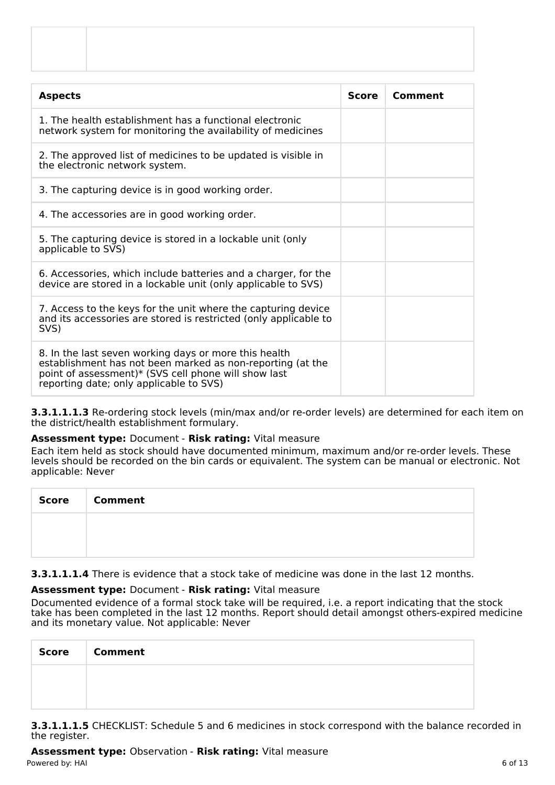| <b>Aspects</b>                                                                                                                                                                                                         | <b>Score</b> | Comment |
|------------------------------------------------------------------------------------------------------------------------------------------------------------------------------------------------------------------------|--------------|---------|
| 1. The health establishment has a functional electronic<br>network system for monitoring the availability of medicines                                                                                                 |              |         |
| 2. The approved list of medicines to be updated is visible in<br>the electronic network system.                                                                                                                        |              |         |
| 3. The capturing device is in good working order.                                                                                                                                                                      |              |         |
| 4. The accessories are in good working order.                                                                                                                                                                          |              |         |
| 5. The capturing device is stored in a lockable unit (only<br>applicable to SVS)                                                                                                                                       |              |         |
| 6. Accessories, which include batteries and a charger, for the<br>device are stored in a lockable unit (only applicable to SVS)                                                                                        |              |         |
| 7. Access to the keys for the unit where the capturing device<br>and its accessories are stored is restricted (only applicable to<br>SVS)                                                                              |              |         |
| 8. In the last seven working days or more this health<br>establishment has not been marked as non-reporting (at the<br>point of assessment)* (SVS cell phone will show last<br>reporting date; only applicable to SVS) |              |         |

**3.3.1.1.1.3** Re-ordering stock levels (min/max and/or re-order levels) are determined for each item on the district/health establishment formulary.

#### **Assessment type:** Document - **Risk rating:** Vital measure

Each item held as stock should have documented minimum, maximum and/or re-order levels. These levels should be recorded on the bin cards or equivalent. The system can be manual or electronic. Not applicable: Never

| <b>Score</b> | <b>Comment</b> |
|--------------|----------------|
|              |                |
|              |                |

**3.3.1.1.1.4** There is evidence that a stock take of medicine was done in the last 12 months.

## **Assessment type:** Document - **Risk rating:** Vital measure

Documented evidence of a formal stock take will be required, i.e. a report indicating that the stock take has been completed in the last 12 months. Report should detail amongst others-expired medicine and its monetary value. Not applicable: Never

| <b>Score</b> | <b>Comment</b> |
|--------------|----------------|
|              |                |
|              |                |

**3.3.1.1.1.5** CHECKLIST: Schedule 5 and 6 medicines in stock correspond with the balance recorded in the register.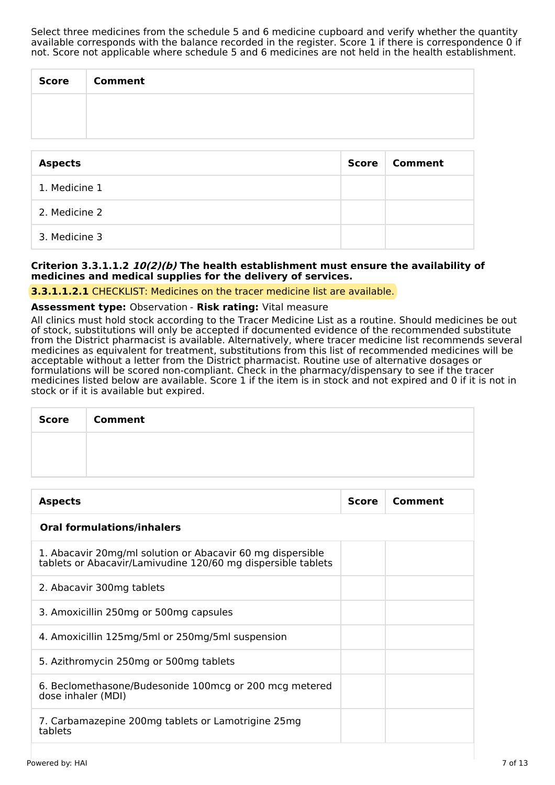Select three medicines from the schedule 5 and 6 medicine cupboard and verify whether the quantity available corresponds with the balance recorded in the register. Score 1 if there is correspondence  $0$  if not. Score not applicable where schedule 5 and 6 medicines are not held in the health establishment.

| <b>Score</b> | <b>Comment</b> |
|--------------|----------------|
|              |                |
|              |                |

| <b>Aspects</b> | Score | <b>Comment</b> |
|----------------|-------|----------------|
| 1. Medicine 1  |       |                |
| 2. Medicine 2  |       |                |
| 3. Medicine 3  |       |                |

## **Criterion 3.3.1.1.2 10(2)(b) The health establishment must ensure the availability of medicines and medical supplies for the delivery of services.**

**3.3.1.1.2.1** CHECKLIST: Medicines on the tracer medicine list are available.

#### **Assessment type:** Observation - **Risk rating:** Vital measure

All clinics must hold stock according to the Tracer Medicine List as a routine. Should medicines be out of stock, substitutions will only be accepted if documented evidence of the recommended substitute from the District pharmacist is available. Alternatively, where tracer medicine list recommends several medicines as equivalent for treatment, substitutions from this list of recommended medicines will be acceptable without a letter from the District pharmacist. Routine use of alternative dosages or formulations will be scored non-compliant. Check in the pharmacy/dispensary to see if the tracer medicines listed below are available. Score 1 if the item is in stock and not expired and 0 if it is not in stock or if it is available but expired.

| Score | <b>Comment</b> |
|-------|----------------|
|       |                |
|       |                |

| <b>Aspects</b>                                                                                                             | <b>Score</b> | Comment |
|----------------------------------------------------------------------------------------------------------------------------|--------------|---------|
| <b>Oral formulations/inhalers</b>                                                                                          |              |         |
| 1. Abacavir 20mg/ml solution or Abacavir 60 mg dispersible<br>tablets or Abacavir/Lamivudine 120/60 mg dispersible tablets |              |         |
| 2. Abacavir 300mg tablets                                                                                                  |              |         |
| 3. Amoxicillin 250mg or 500mg capsules                                                                                     |              |         |
| 4. Amoxicillin 125mg/5ml or 250mg/5ml suspension                                                                           |              |         |
| 5. Azithromycin 250mg or 500mg tablets                                                                                     |              |         |
| 6. Beclomethasone/Budesonide 100 mcg or 200 mcg metered<br>dose inhaler (MDI)                                              |              |         |
| 7. Carbamazepine 200mg tablets or Lamotrigine 25mg<br>tablets                                                              |              |         |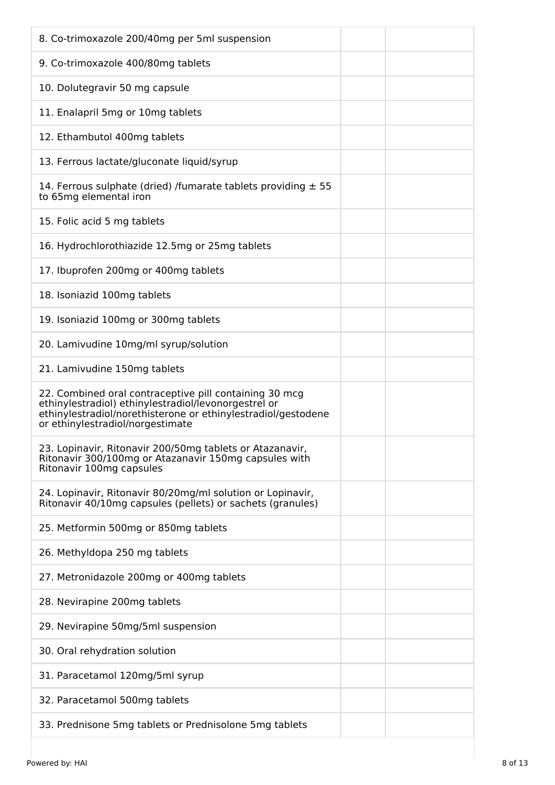| 8. Co-trimoxazole 200/40mg per 5ml suspension                                                                                                                                                                       |
|---------------------------------------------------------------------------------------------------------------------------------------------------------------------------------------------------------------------|
| 9. Co-trimoxazole 400/80mg tablets                                                                                                                                                                                  |
| 10. Dolutegravir 50 mg capsule                                                                                                                                                                                      |
| 11. Enalapril 5mg or 10mg tablets                                                                                                                                                                                   |
| 12. Ethambutol 400mg tablets                                                                                                                                                                                        |
| 13. Ferrous lactate/gluconate liquid/syrup                                                                                                                                                                          |
| 14. Ferrous sulphate (dried) /fumarate tablets providing $\pm$ 55<br>to 65mg elemental iron                                                                                                                         |
| 15. Folic acid 5 mg tablets                                                                                                                                                                                         |
| 16. Hydrochlorothiazide 12.5mg or 25mg tablets                                                                                                                                                                      |
| 17. Ibuprofen 200mg or 400mg tablets                                                                                                                                                                                |
| 18. Isoniazid 100mg tablets                                                                                                                                                                                         |
| 19. Isoniazid 100mg or 300mg tablets                                                                                                                                                                                |
| 20. Lamivudine 10mg/ml syrup/solution                                                                                                                                                                               |
| 21. Lamivudine 150mg tablets                                                                                                                                                                                        |
| 22. Combined oral contraceptive pill containing 30 mcg<br>ethinylestradiol) ethinylestradiol/levonorgestrel or<br>ethinylestradiol/norethisterone or ethinylestradiol/gestodene<br>or ethinylestradiol/norgestimate |
| 23. Lopinavir, Ritonavir 200/50mg tablets or Atazanavir,<br>Ritonavir 300/100mg or Atazanavir 150mg capsules with<br>Ritonavir 100mg capsules                                                                       |
| 24. Lopinavir, Ritonavir 80/20mg/ml solution or Lopinavir,<br>Ritonavir 40/10mg capsules (pellets) or sachets (granules)                                                                                            |
| 25. Metformin 500mg or 850mg tablets                                                                                                                                                                                |
| 26. Methyldopa 250 mg tablets                                                                                                                                                                                       |
| 27. Metronidazole 200mg or 400mg tablets                                                                                                                                                                            |
| 28. Nevirapine 200mg tablets                                                                                                                                                                                        |
| 29. Nevirapine 50mg/5ml suspension                                                                                                                                                                                  |
| 30. Oral rehydration solution                                                                                                                                                                                       |
| 31. Paracetamol 120mg/5ml syrup                                                                                                                                                                                     |
| 32. Paracetamol 500mg tablets                                                                                                                                                                                       |
| 33. Prednisone 5mg tablets or Prednisolone 5mg tablets                                                                                                                                                              |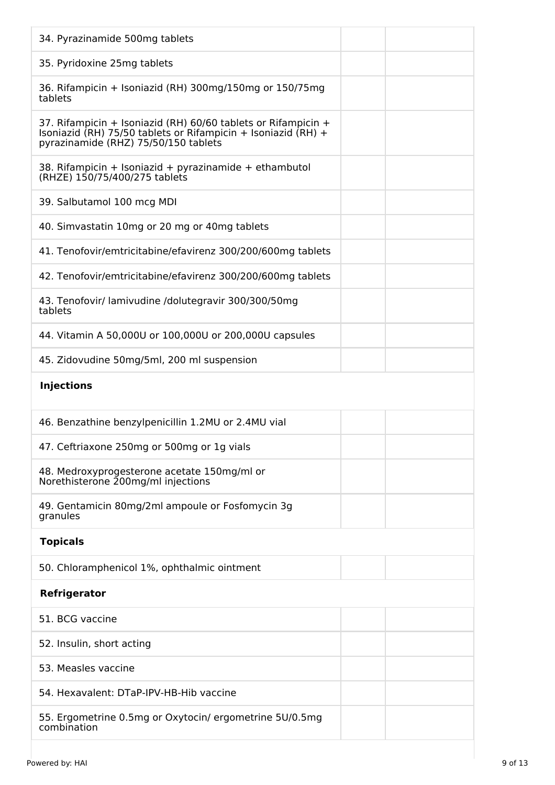| 34. Pyrazinamide 500mg tablets                                                                                                                                         |
|------------------------------------------------------------------------------------------------------------------------------------------------------------------------|
| 35. Pyridoxine 25mg tablets                                                                                                                                            |
| 36. Rifampicin + Isoniazid (RH) 300mg/150mg or 150/75mg<br>tablets                                                                                                     |
| 37. Rifampicin + Isoniazid (RH) 60/60 tablets or Rifampicin +<br>Isoniazid (RH) 75/50 tablets or Rifampicin + Isoniazid (RH) +<br>pyrazinamide (RHZ) 75/50/150 tablets |
| 38. Rifampicin + Isoniazid + pyrazinamide + ethambutol<br>(RHZE) 150/75/400/275 tablets                                                                                |
| 39. Salbutamol 100 mcg MDI                                                                                                                                             |
| 40. Simvastatin 10mg or 20 mg or 40mg tablets                                                                                                                          |
| 41. Tenofovir/emtricitabine/efavirenz 300/200/600mg tablets                                                                                                            |
| 42. Tenofovir/emtricitabine/efavirenz 300/200/600mg tablets                                                                                                            |
| 43. Tenofovir/ lamivudine /dolutegravir 300/300/50mg<br>tablets                                                                                                        |
| 44. Vitamin A 50,000U or 100,000U or 200,000U capsules                                                                                                                 |
| 45. Zidovudine 50mg/5ml, 200 ml suspension                                                                                                                             |
| <b>Injections</b>                                                                                                                                                      |
|                                                                                                                                                                        |
| 46. Benzathine benzylpenicillin 1.2MU or 2.4MU vial                                                                                                                    |
| 47. Ceftriaxone 250mg or 500mg or 1g vials                                                                                                                             |
| 48. Medroxyprogesterone acetate 150mg/ml or<br>Norethisterone 200mg/ml injections                                                                                      |
| 49. Gentamicin 80mg/2ml ampoule or Fosfomycin 3g<br>granules                                                                                                           |
| <b>Topicals</b>                                                                                                                                                        |
| 50. Chloramphenicol 1%, ophthalmic ointment                                                                                                                            |
| Refrigerator                                                                                                                                                           |
| 51. BCG vaccine                                                                                                                                                        |
| 52. Insulin, short acting                                                                                                                                              |
| 53. Measles vaccine                                                                                                                                                    |
| 54. Hexavalent: DTaP-IPV-HB-Hib vaccine                                                                                                                                |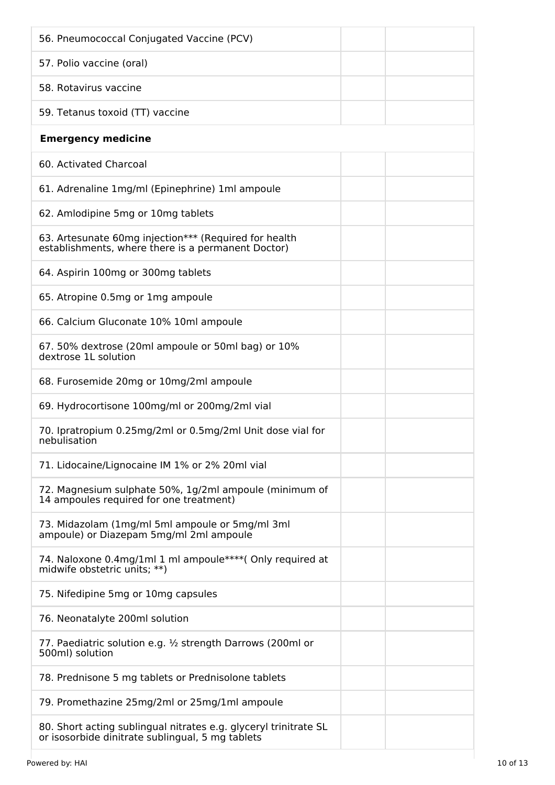| 56. Pneumococcal Conjugated Vaccine (PCV)                                                                            |
|----------------------------------------------------------------------------------------------------------------------|
| 57. Polio vaccine (oral)                                                                                             |
| 58. Rotavirus vaccine                                                                                                |
| 59. Tetanus toxoid (TT) vaccine                                                                                      |
| <b>Emergency medicine</b>                                                                                            |
| 60. Activated Charcoal                                                                                               |
| 61. Adrenaline 1mg/ml (Epinephrine) 1ml ampoule                                                                      |
| 62. Amlodipine 5mg or 10mg tablets                                                                                   |
| 63. Artesunate 60mg injection*** (Required for health<br>establishments, where there is a permanent Doctor)          |
| 64. Aspirin 100mg or 300mg tablets                                                                                   |
| 65. Atropine 0.5mg or 1mg ampoule                                                                                    |
| 66. Calcium Gluconate 10% 10ml ampoule                                                                               |
| 67. 50% dextrose (20ml ampoule or 50ml bag) or 10%<br>dextrose 1L solution                                           |
| 68. Furosemide 20mg or 10mg/2ml ampoule                                                                              |
| 69. Hydrocortisone 100mg/ml or 200mg/2ml vial                                                                        |
| 70. Ipratropium 0.25mg/2ml or 0.5mg/2ml Unit dose vial for<br>nebulisation                                           |
| 71. Lidocaine/Lignocaine IM 1% or 2% 20ml vial                                                                       |
| 72. Magnesium sulphate 50%, 1g/2ml ampoule (minimum of<br>14 ampoules required for one treatment)                    |
| 73. Midazolam (1mg/ml 5ml ampoule or 5mg/ml 3ml<br>ampoule) or Diazepam 5mg/ml 2ml ampoule                           |
| 74. Naloxone 0.4mg/1ml 1 ml ampoule****( Only required at<br>midwife obstetric units; **)                            |
| 75. Nifedipine 5mg or 10mg capsules                                                                                  |
| 76. Neonatalyte 200ml solution                                                                                       |
| 77. Paediatric solution e.g. 1/2 strength Darrows (200ml or<br>500ml) solution                                       |
| 78. Prednisone 5 mg tablets or Prednisolone tablets                                                                  |
| 79. Promethazine 25mg/2ml or 25mg/1ml ampoule                                                                        |
| 80. Short acting sublingual nitrates e.g. glyceryl trinitrate SL<br>or isosorbide dinitrate sublingual, 5 mg tablets |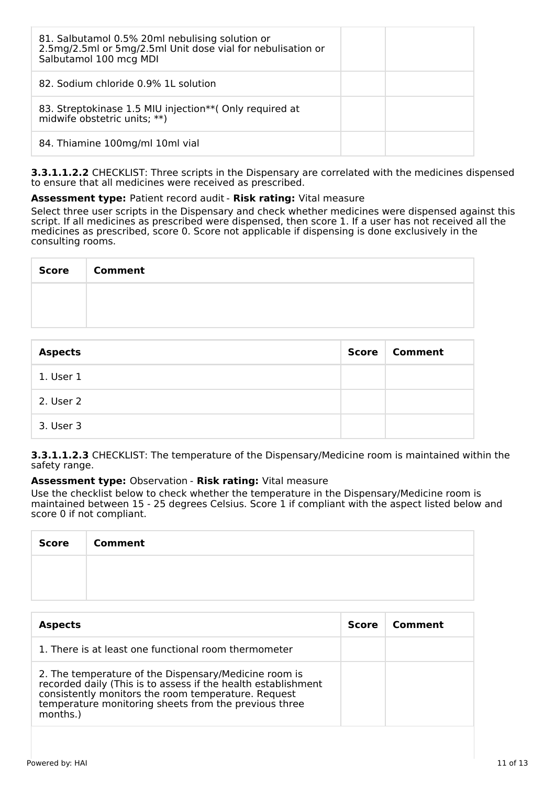| 81. Salbutamol 0.5% 20ml nebulising solution or<br>2.5mg/2.5ml or 5mg/2.5ml Unit dose vial for nebulisation or<br>Salbutamol 100 mcg MDI |  |
|------------------------------------------------------------------------------------------------------------------------------------------|--|
| 82. Sodium chloride 0.9% 1L solution                                                                                                     |  |
| 83. Streptokinase 1.5 MIU injection** (Only required at<br>midwife obstetric units; **)                                                  |  |
| 84. Thiamine 100mg/ml 10ml vial                                                                                                          |  |

**3.3.1.1.2.2** CHECKLIST: Three scripts in the Dispensary are correlated with the medicines dispensed to ensure that all medicines were received as prescribed.

#### **Assessment type:** Patient record audit - **Risk rating:** Vital measure

Select three user scripts in the Dispensary and check whether medicines were dispensed against this script. If all medicines as prescribed were dispensed, then score 1. If a user has not received all the medicines as prescribed, score 0. Score not applicable if dispensing is done exclusively in the consulting rooms.

| Score | <b>Comment</b> |
|-------|----------------|
|       |                |
|       |                |

| <b>Aspects</b> | <b>Score</b> | <b>Comment</b> |
|----------------|--------------|----------------|
| 1. User 1      |              |                |
| 2. User 2      |              |                |
| 3. User 3      |              |                |

#### **3.3.1.1.2.3** CHECKLIST: The temperature of the Dispensary/Medicine room is maintained within the safety range.

#### **Assessment type:** Observation - **Risk rating:** Vital measure

Use the checklist below to check whether the temperature in the Dispensary/Medicine room is maintained between 15 - 25 degrees Celsius. Score 1 if compliant with the aspect listed below and score 0 if not compliant.

| <b>Score</b> | <b>Comment</b> |
|--------------|----------------|
|              |                |
|              |                |

| <b>Aspects</b>                                                                                                                                                                                                                                     | <b>Score</b> | Comment |
|----------------------------------------------------------------------------------------------------------------------------------------------------------------------------------------------------------------------------------------------------|--------------|---------|
| 1. There is at least one functional room thermometer                                                                                                                                                                                               |              |         |
| 2. The temperature of the Dispensary/Medicine room is<br>recorded daily (This is to assess if the health establishment<br>consistently monitors the room temperature. Request<br>temperature monitoring sheets from the previous three<br>months.) |              |         |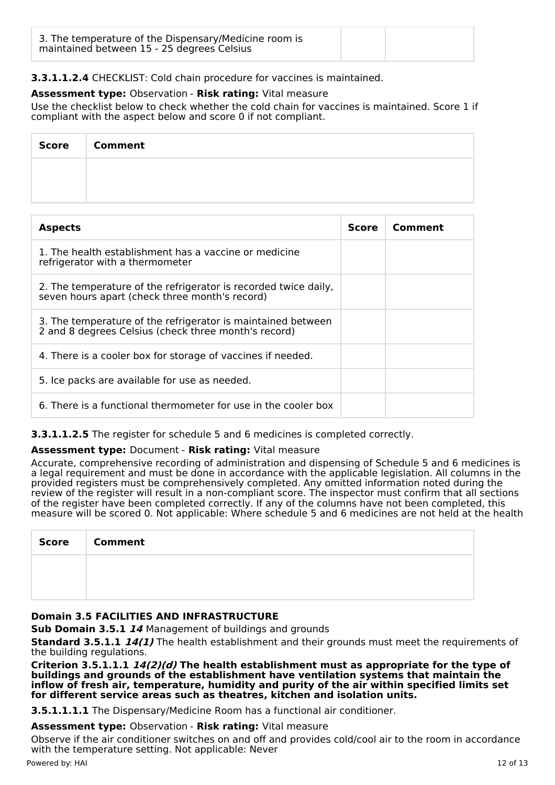| 3. The temperature of the Dispensary/Medicine room is<br>maintained between 15 - 25 degrees Celsius |  |
|-----------------------------------------------------------------------------------------------------|--|
|-----------------------------------------------------------------------------------------------------|--|

# **3.3.1.1.2.4** CHECKLIST: Cold chain procedure for vaccines is maintained.

## **Assessment type:** Observation - **Risk rating:** Vital measure

Use the checklist below to check whether the cold chain for vaccines is maintained. Score 1 if compliant with the aspect below and score 0 if not compliant.

| Score   Comment |
|-----------------|
|                 |
|                 |

| <b>Aspects</b>                                                                                                       | <b>Score</b> | Comment |
|----------------------------------------------------------------------------------------------------------------------|--------------|---------|
| 1. The health establishment has a vaccine or medicine<br>refrigerator with a thermometer                             |              |         |
| 2. The temperature of the refrigerator is recorded twice daily,<br>seven hours apart (check three month's record)    |              |         |
| 3. The temperature of the refrigerator is maintained between<br>2 and 8 degrees Celsius (check three month's record) |              |         |
| 4. There is a cooler box for storage of vaccines if needed.                                                          |              |         |
| 5. Ice packs are available for use as needed.                                                                        |              |         |
| 6. There is a functional thermometer for use in the cooler box                                                       |              |         |

**3.3.1.1.2.5** The register for schedule 5 and 6 medicines is completed correctly.

## **Assessment type:** Document - **Risk rating:** Vital measure

Accurate, comprehensive recording of administration and dispensing of Schedule 5 and 6 medicines is a legal requirement and must be done in accordance with the applicable legislation. All columns in the provided registers must be comprehensively completed. Any omitted information noted during the review of the register will result in a non-compliant score. The inspector must confirm that all sections of the register have been completed correctly. If any of the columns have not been completed, this measure will be scored 0. Not applicable: Where schedule 5 and 6 medicines are not held at the health

| <b>Score</b> | <b>Comment</b> |
|--------------|----------------|
|              |                |
|              |                |

## **Domain 3.5 FACILITIES AND INFRASTRUCTURE**

**Sub Domain 3.5.1 14** Management of buildings and grounds

**Standard 3.5.1.1 14(1)** The health establishment and their grounds must meet the requirements of the building regulations.

**Criterion 3.5.1.1.1 14(2)(d) The health establishment must as appropriate for the type of buildings and grounds of the establishment have ventilation systems that maintain the inflow of fresh air, temperature, humidity and purity of the air within specified limits set for different service areas such as theatres, kitchen and isolation units.**

**3.5.1.1.1.1** The Dispensary/Medicine Room has a functional air conditioner.

#### **Assessment type:** Observation - **Risk rating:** Vital measure

Observe if the air conditioner switches on and off and provides cold/cool air to the room in accordance with the temperature setting. Not applicable: Never